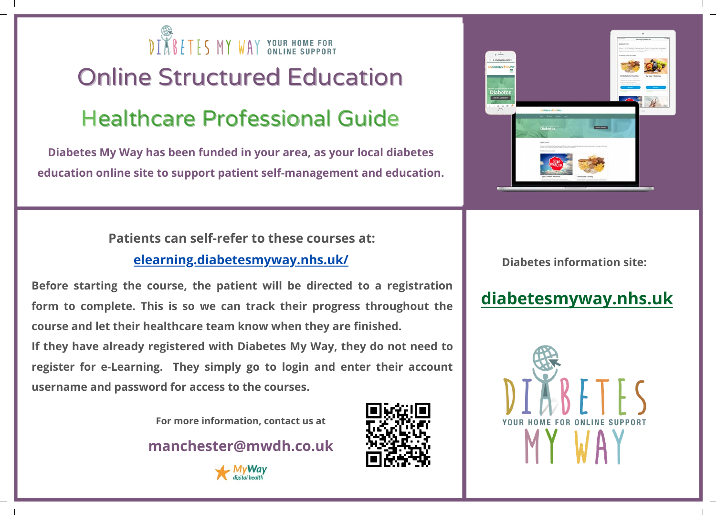

# Online Structured Education **Healthcare Professional Guide**

**Diabetes My Way has been funded in your area, as your local diabetes education online site to support patient self-management and education.**

> **Patients can self-refer to these courses at: [elearning.diabetesmyway.nhs.uk/](https://elearning.diabetesmyway.nhs.uk/)**

**Before starting the course, the patient will be directed to a registration form to complete. This is so we can track their progress throughout the course and let their healthcare team know when they are finished. If they have already registered with Diabetes My Way, they do not need to register for e-Learning. They simply go to login and enter their account username and password for access to the courses.**

**For more information, contact us at**

**manchester@mwdh.co.uk**







**Diabetes information site:**

# **[diabetesmyway.nhs.uk](https://diabetesmyway.nhs.uk/)**